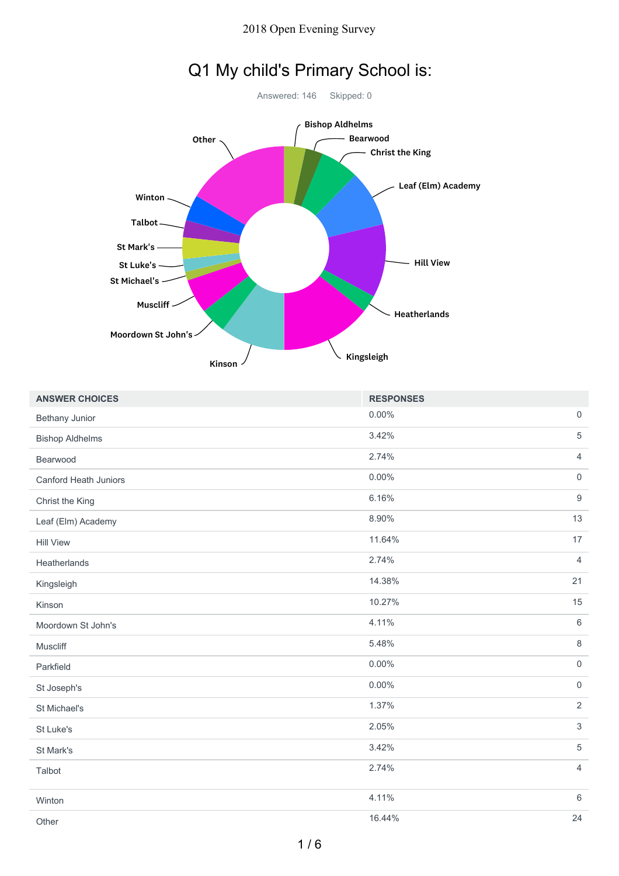#### 2018 Open Evening Survey



| <b>ANSWER CHOICES</b>  | <b>RESPONSES</b> |                     |
|------------------------|------------------|---------------------|
| Bethany Junior         | 0.00%            | $\mathbf 0$         |
| <b>Bishop Aldhelms</b> | 3.42%            | $\sqrt{5}$          |
| Bearwood               | 2.74%            | $\overline{4}$      |
| Canford Heath Juniors  | 0.00%            | $\mathsf{O}\xspace$ |
| Christ the King        | 6.16%            | $\boldsymbol{9}$    |
| Leaf (Elm) Academy     | 8.90%            | 13                  |
| <b>Hill View</b>       | 11.64%           | 17                  |
| Heatherlands           | 2.74%            | $\overline{4}$      |
| Kingsleigh             | 14.38%           | 21                  |
| Kinson                 | 10.27%           | 15                  |
| Moordown St John's     | 4.11%            | $6\,$               |
| Muscliff               | 5.48%            | $\,8\,$             |
| Parkfield              | 0.00%            | $\mathsf{O}$        |
| St Joseph's            | 0.00%            | $\mathsf{O}\xspace$ |
| St Michael's           | 1.37%            | $\overline{2}$      |
| St Luke's              | 2.05%            | $\mathbf{3}$        |
| St Mark's              | 3.42%            | $\overline{5}$      |
| Talbot                 | 2.74%            | $\overline{4}$      |
| Winton                 | 4.11%            | $6\,$               |
| Other                  | 16.44%           | 24                  |

#### 1 / 6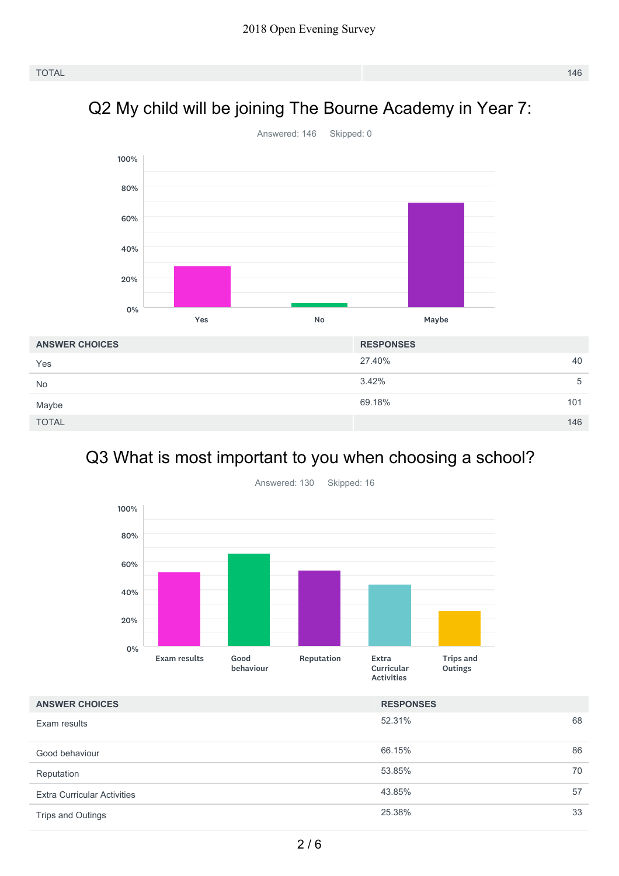## Q2 My child will be joining The Bourne Academy in Year 7:



## Q3 What is most important to you when choosing a school?



| <b>ANSWER CHOICES</b>              | <b>RESPONSES</b> |    |
|------------------------------------|------------------|----|
| Exam results                       | 52.31%           | 68 |
| Good behaviour                     | 66.15%           | 86 |
| Reputation                         | 53.85%           | 70 |
| <b>Extra Curricular Activities</b> | 43.85%           | 57 |
| Trips and Outings                  | 25.38%           | 33 |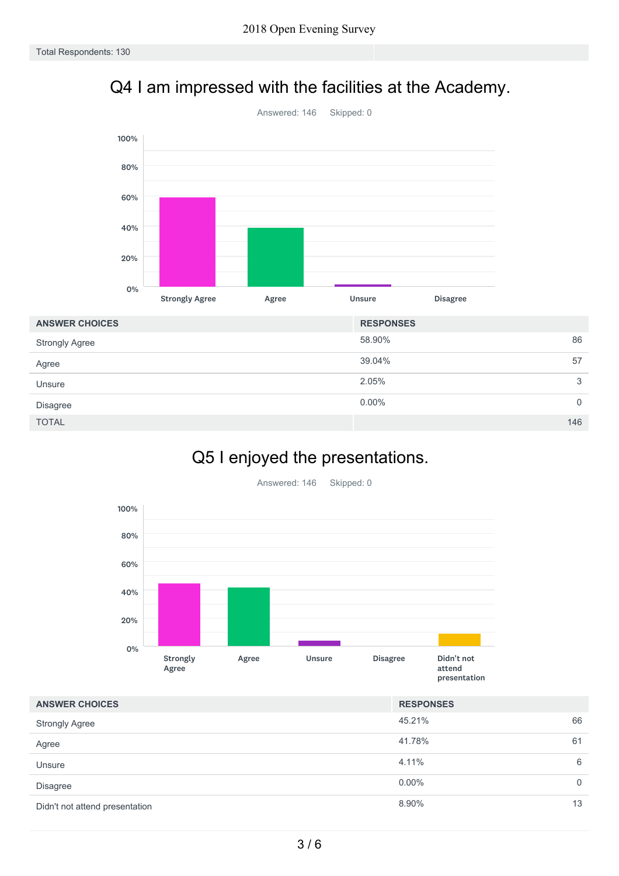## Q4 I am impressed with the facilities at the Academy.



| <b>ANSWER CHOICES</b> | <b>RESPONSES</b> |     |
|-----------------------|------------------|-----|
| <b>Strongly Agree</b> | 58.90%           | 86  |
| Agree                 | 39.04%           | 57  |
| Unsure                | 2.05%            | 3   |
| <b>Disagree</b>       | $0.00\%$         | 0   |
| <b>TOTAL</b>          |                  | 146 |

# Q5 I enjoyed the presentations.



| <b>ANSWER CHOICES</b>          | <b>RESPONSES</b> |              |
|--------------------------------|------------------|--------------|
| <b>Strongly Agree</b>          | 45.21%           | 66           |
| Agree                          | 41.78%           | 61           |
| Unsure                         | 4.11%            | 6            |
| <b>Disagree</b>                | $0.00\%$         | $\mathbf{0}$ |
| Didn't not attend presentation | 8.90%            | 13           |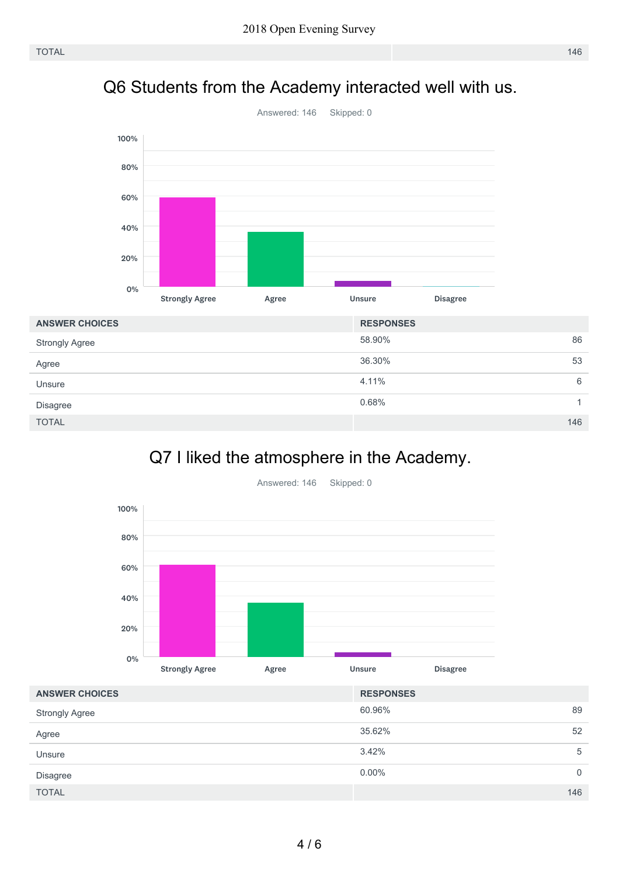### Q6 Students from the Academy interacted well with us.



## Q7 I liked the atmosphere in the Academy.



60.96% 89 35.62% 52 3.42% 5  $0.00\%$  0 TOTAL 146 **ANSWER CHOICES RESPONSES** Strongly Agree Agree Unsure Disagree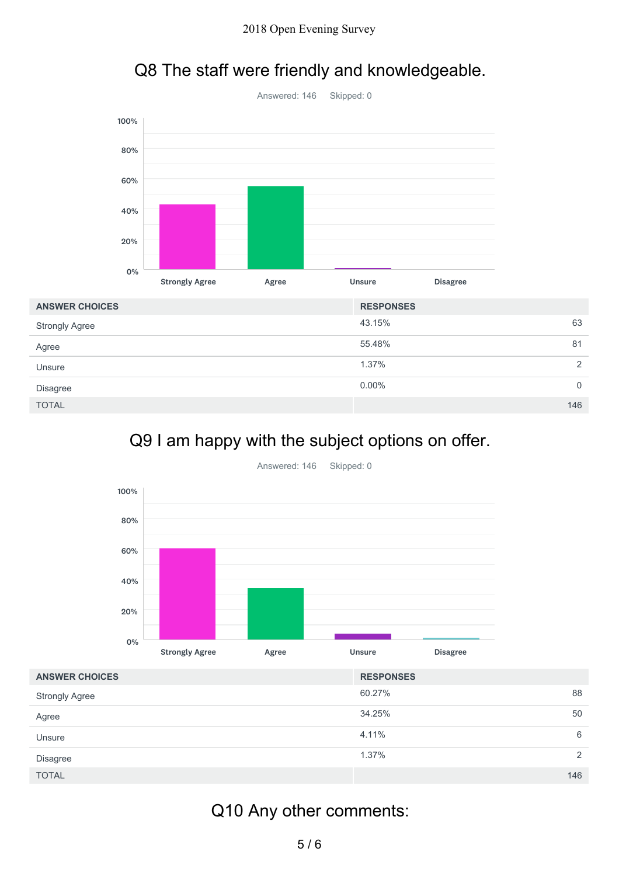

## Q8 The staff were friendly and knowledgeable.

|                       | <b>Strongly Agree</b> | Agree | <b>Unsure</b>    | <b>Disagree</b> |                |
|-----------------------|-----------------------|-------|------------------|-----------------|----------------|
| <b>ANSWER CHOICES</b> |                       |       | <b>RESPONSES</b> |                 |                |
| <b>Strongly Agree</b> |                       |       | 43.15%           |                 | 63             |
| Agree                 |                       |       | 55.48%           |                 | 81             |
| Unsure                |                       |       | 1.37%            |                 | 2              |
| <b>Disagree</b>       |                       |       | $0.00\%$         |                 | $\overline{0}$ |
| <b>TOTAL</b>          |                       |       |                  |                 | 146            |

### Q9 I am happy with the subject options on offer.



Answered: 146 Skipped: 0

| <b>ANSWER CHOICES</b> | <b>RESPONSES</b>       |
|-----------------------|------------------------|
| <b>Strongly Agree</b> | 60.27%<br>88           |
| Agree                 | 34.25%<br>50           |
| Unsure                | 4.11%<br>6             |
| Disagree              | 1.37%<br>$\mathcal{P}$ |
| <b>TOTAL</b>          | 146                    |

# Q10 Any other comments: